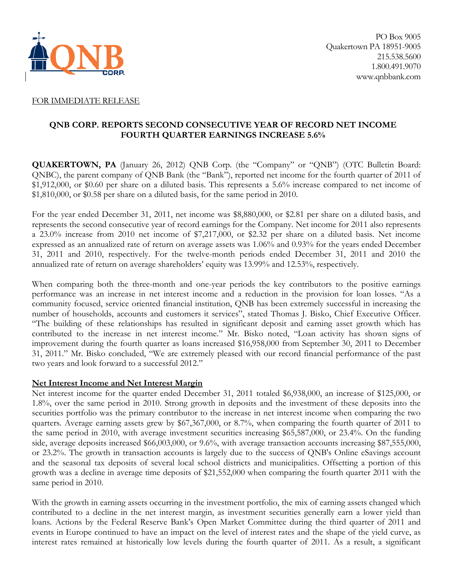

### FOR IMMEDIATE RELEASE

## **QNB CORP. REPORTS SECOND CONSECUTIVE YEAR OF RECORD NET INCOME FOURTH QUARTER EARNINGS INCREASE 5.6%**

**QUAKERTOWN, PA** (January 26, 2012) QNB Corp. (the "Company" or "QNB") (OTC Bulletin Board: QNBC), the parent company of QNB Bank (the "Bank"), reported net income for the fourth quarter of 2011 of \$1,912,000, or \$0.60 per share on a diluted basis. This represents a 5.6% increase compared to net income of \$1,810,000, or \$0.58 per share on a diluted basis, for the same period in 2010.

For the year ended December 31, 2011, net income was \$8,880,000, or \$2.81 per share on a diluted basis, and represents the second consecutive year of record earnings for the Company. Net income for 2011 also represents a 23.0% increase from 2010 net income of \$7,217,000, or \$2.32 per share on a diluted basis. Net income expressed as an annualized rate of return on average assets was 1.06% and 0.93% for the years ended December 31, 2011 and 2010, respectively. For the twelve-month periods ended December 31, 2011 and 2010 the annualized rate of return on average shareholders' equity was 13.99% and 12.53%, respectively.

When comparing both the three-month and one-year periods the key contributors to the positive earnings performance was an increase in net interest income and a reduction in the provision for loan losses. "As a community focused, service oriented financial institution, QNB has been extremely successful in increasing the number of households, accounts and customers it services", stated Thomas J. Bisko, Chief Executive Officer. "The building of these relationships has resulted in significant deposit and earning asset growth which has contributed to the increase in net interest income." Mr. Bisko noted, "Loan activity has shown signs of improvement during the fourth quarter as loans increased \$16,958,000 from September 30, 2011 to December 31, 2011." Mr. Bisko concluded, "We are extremely pleased with our record financial performance of the past two years and look forward to a successful 2012."

### **Net Interest Income and Net Interest Margin**

Net interest income for the quarter ended December 31, 2011 totaled \$6,938,000, an increase of \$125,000, or 1.8%, over the same period in 2010. Strong growth in deposits and the investment of these deposits into the securities portfolio was the primary contributor to the increase in net interest income when comparing the two quarters. Average earning assets grew by \$67,367,000, or 8.7%, when comparing the fourth quarter of 2011 to the same period in 2010, with average investment securities increasing \$65,587,000, or 23.4%. On the funding side, average deposits increased \$66,003,000, or 9.6%, with average transaction accounts increasing \$87,555,000, or 23.2%. The growth in transaction accounts is largely due to the success of QNB's Online eSavings account and the seasonal tax deposits of several local school districts and municipalities. Offsetting a portion of this growth was a decline in average time deposits of \$21,552,000 when comparing the fourth quarter 2011 with the same period in 2010.

With the growth in earning assets occurring in the investment portfolio, the mix of earning assets changed which contributed to a decline in the net interest margin, as investment securities generally earn a lower yield than loans. Actions by the Federal Reserve Bank's Open Market Committee during the third quarter of 2011 and events in Europe continued to have an impact on the level of interest rates and the shape of the yield curve, as interest rates remained at historically low levels during the fourth quarter of 2011. As a result, a significant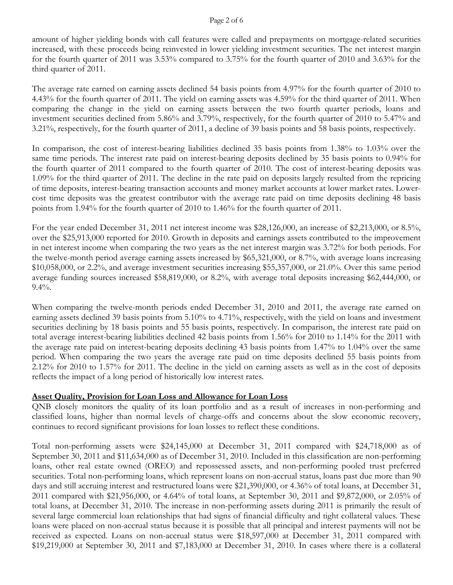#### Page 2 of 6

amount of higher yielding bonds with call features were called and prepayments on mortgage-related securities increased, with these proceeds being reinvested in lower yielding investment securities. The net interest margin for the fourth quarter of 2011 was 3.53% compared to 3.75% for the fourth quarter of 2010 and 3.63% for the third quarter of 2011.

The average rate earned on earning assets declined 54 basis points from 4.97% for the fourth quarter of 2010 to 4.43% for the fourth quarter of 2011. The yield on earning assets was 4.59% for the third quarter of 2011. When comparing the change in the yield on earning assets between the two fourth quarter periods, loans and investment securities declined from 5.86% and 3.79%, respectively, for the fourth quarter of 2010 to 5.47% and 3.21%, respectively, for the fourth quarter of 2011, a decline of 39 basis points and 58 basis points, respectively.

In comparison, the cost of interest-bearing liabilities declined 35 basis points from 1.38% to 1.03% over the same time periods. The interest rate paid on interest-bearing deposits declined by 35 basis points to 0.94% for the fourth quarter of 2011 compared to the fourth quarter of 2010. The cost of interest-bearing deposits was 1.09% for the third quarter of 2011. The decline in the rate paid on deposits largely resulted from the repricing of time deposits, interest-bearing transaction accounts and money market accounts at lower market rates. Lowercost time deposits was the greatest contributor with the average rate paid on time deposits declining 48 basis points from 1.94% for the fourth quarter of 2010 to 1.46% for the fourth quarter of 2011.

For the year ended December 31, 2011 net interest income was \$28,126,000, an increase of \$2,213,000, or 8.5%, over the \$25,913,000 reported for 2010. Growth in deposits and earnings assets contributed to the improvement in net interest income when comparing the two years as the net interest margin was 3.72% for both periods. For the twelve-month period average earning assets increased by \$65,321,000, or 8.7%, with average loans increasing \$10,058,000, or 2.2%, and average investment securities increasing \$55,357,000, or 21.0%. Over this same period average funding sources increased \$58,819,000, or 8.2%, with average total deposits increasing \$62,444,000, or 9.4%.

When comparing the twelve-month periods ended December 31, 2010 and 2011, the average rate earned on earning assets declined 39 basis points from 5.10% to 4.71%, respectively, with the yield on loans and investment securities declining by 18 basis points and 55 basis points, respectively. In comparison, the interest rate paid on total average interest-bearing liabilities declined 42 basis points from 1.56% for 2010 to 1.14% for the 2011 with the average rate paid on interest-bearing deposits declining 43 basis points from 1.47% to 1.04% over the same period. When comparing the two years the average rate paid on time deposits declined 55 basis points from 2.12% for 2010 to 1.57% for 2011. The decline in the yield on earning assets as well as in the cost of deposits reflects the impact of a long period of historically low interest rates.

### **Asset Quality, Provision for Loan Loss and Allowance for Loan Loss**

QNB closely monitors the quality of its loan portfolio and as a result of increases in non-performing and classified loans, higher than normal levels of charge-offs and concerns about the slow economic recovery, continues to record significant provisions for loan losses to reflect these conditions.

Total non-performing assets were \$24,145,000 at December 31, 2011 compared with \$24,718,000 as of September 30, 2011 and \$11,634,000 as of December 31, 2010. Included in this classification are non-performing loans, other real estate owned (OREO) and repossessed assets, and non-performing pooled trust preferred securities. Total non-performing loans, which represent loans on non-accrual status, loans past due more than 90 days and still accruing interest and restructured loans were \$21,390,000, or 4.36% of total loans, at December 31, 2011 compared with \$21,956,000, or 4.64% of total loans, at September 30, 2011 and \$9,872,000, or 2.05% of total loans, at December 31, 2010. The increase in non-performing assets during 2011 is primarily the result of several large commercial loan relationships that had signs of financial difficulty and tight collateral values. These loans were placed on non-accrual status because it is possible that all principal and interest payments will not be received as expected. Loans on non-accrual status were \$18,597,000 at December 31, 2011 compared with \$19,219,000 at September 30, 2011 and \$7,183,000 at December 31, 2010. In cases where there is a collateral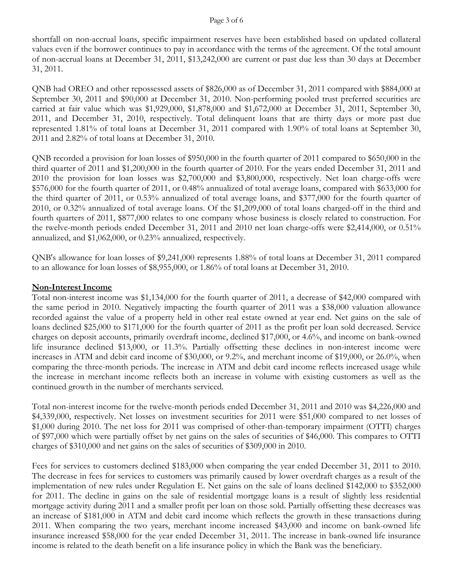#### Page 3 of 6

shortfall on non-accrual loans, specific impairment reserves have been established based on updated collateral values even if the borrower continues to pay in accordance with the terms of the agreement. Of the total amount of non-accrual loans at December 31, 2011, \$13,242,000 are current or past due less than 30 days at December 31, 2011.

QNB had OREO and other repossessed assets of \$826,000 as of December 31, 2011 compared with \$884,000 at September 30, 2011 and \$90,000 at December 31, 2010. Non-performing pooled trust preferred securities are carried at fair value which was \$1,929,000, \$1,878,000 and \$1,672,000 at December 31, 2011, September 30, 2011, and December 31, 2010, respectively. Total delinquent loans that are thirty days or more past due represented 1.81% of total loans at December 31, 2011 compared with 1.90% of total loans at September 30, 2011 and 2.82% of total loans at December 31, 2010.

QNB recorded a provision for loan losses of \$950,000 in the fourth quarter of 2011 compared to \$650,000 in the third quarter of 2011 and \$1,200,000 in the fourth quarter of 2010. For the years ended December 31, 2011 and 2010 the provision for loan losses was \$2,700,000 and \$3,800,000, respectively. Net loan charge-offs were \$576,000 for the fourth quarter of 2011, or 0.48% annualized of total average loans, compared with \$633,000 for the third quarter of 2011, or 0.53% annualized of total average loans, and \$377,000 for the fourth quarter of 2010, or 0.32% annualized of total average loans. Of the \$1,209,000 of total loans charged-off in the third and fourth quarters of 2011, \$877,000 relates to one company whose business is closely related to construction. For the twelve-month periods ended December 31, 2011 and 2010 net loan charge-offs were \$2,414,000, or 0.51% annualized, and \$1,062,000, or 0.23% annualized, respectively.

QNB's allowance for loan losses of \$9,241,000 represents 1.88% of total loans at December 31, 2011 compared to an allowance for loan losses of \$8,955,000, or 1.86% of total loans at December 31, 2010.

## **Non-Interest Income**

Total non-interest income was \$1,134,000 for the fourth quarter of 2011, a decrease of \$42,000 compared with the same period in 2010. Negatively impacting the fourth quarter of 2011 was a \$38,000 valuation allowance recorded against the value of a property held in other real estate owned at year end. Net gains on the sale of loans declined \$25,000 to \$171,000 for the fourth quarter of 2011 as the profit per loan sold decreased. Service charges on deposit accounts, primarily overdraft income, declined \$17,000, or 4.6%, and income on bank-owned life insurance declined \$13,000, or 11.3%. Partially offsetting these declines in non-interest income were increases in ATM and debit card income of \$30,000, or 9.2%, and merchant income of \$19,000, or 26.0%, when comparing the three-month periods. The increase in ATM and debit card income reflects increased usage while the increase in merchant income reflects both an increase in volume with existing customers as well as the continued growth in the number of merchants serviced.

Total non-interest income for the twelve-month periods ended December 31, 2011 and 2010 was \$4,226,000 and \$4,339,000, respectively. Net losses on investment securities for 2011 were \$51,000 compared to net losses of \$1,000 during 2010. The net loss for 2011 was comprised of other-than-temporary impairment (OTTI) charges of \$97,000 which were partially offset by net gains on the sales of securities of \$46,000. This compares to OTTI charges of \$310,000 and net gains on the sales of securities of \$309,000 in 2010.

Fees for services to customers declined \$183,000 when comparing the year ended December 31, 2011 to 2010. The decrease in fees for services to customers was primarily caused by lower overdraft charges as a result of the implementation of new rules under Regulation E. Net gains on the sale of loans declined \$142,000 to \$352,000 for 2011. The decline in gains on the sale of residential mortgage loans is a result of slightly less residential mortgage activity during 2011 and a smaller profit per loan on those sold. Partially offsetting these decreases was an increase of \$181,000 in ATM and debit card income which reflects the growth in these transactions during 2011. When comparing the two years, merchant income increased \$43,000 and income on bank-owned life insurance increased \$58,000 for the year ended December 31, 2011. The increase in bank-owned life insurance income is related to the death benefit on a life insurance policy in which the Bank was the beneficiary.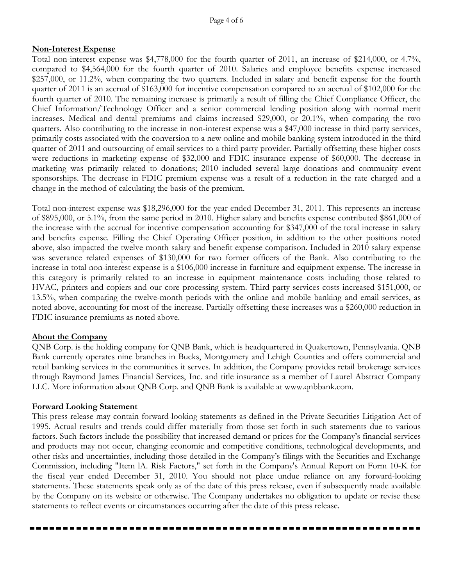## **Non-Interest Expense**

Total non-interest expense was \$4,778,000 for the fourth quarter of 2011, an increase of \$214,000, or 4.7%, compared to \$4,564,000 for the fourth quarter of 2010. Salaries and employee benefits expense increased \$257,000, or 11.2%, when comparing the two quarters. Included in salary and benefit expense for the fourth quarter of 2011 is an accrual of \$163,000 for incentive compensation compared to an accrual of \$102,000 for the fourth quarter of 2010. The remaining increase is primarily a result of filling the Chief Compliance Officer, the Chief Information/Technology Officer and a senior commercial lending position along with normal merit increases. Medical and dental premiums and claims increased \$29,000, or 20.1%, when comparing the two quarters. Also contributing to the increase in non-interest expense was a \$47,000 increase in third party services, primarily costs associated with the conversion to a new online and mobile banking system introduced in the third quarter of 2011 and outsourcing of email services to a third party provider. Partially offsetting these higher costs were reductions in marketing expense of \$32,000 and FDIC insurance expense of \$60,000. The decrease in marketing was primarily related to donations; 2010 included several large donations and community event sponsorships. The decrease in FDIC premium expense was a result of a reduction in the rate charged and a change in the method of calculating the basis of the premium.

Total non-interest expense was \$18,296,000 for the year ended December 31, 2011. This represents an increase of \$895,000, or 5.1%, from the same period in 2010. Higher salary and benefits expense contributed \$861,000 of the increase with the accrual for incentive compensation accounting for \$347,000 of the total increase in salary and benefits expense. Filling the Chief Operating Officer position, in addition to the other positions noted above, also impacted the twelve month salary and benefit expense comparison. Included in 2010 salary expense was severance related expenses of \$130,000 for two former officers of the Bank. Also contributing to the increase in total non-interest expense is a \$106,000 increase in furniture and equipment expense. The increase in this category is primarily related to an increase in equipment maintenance costs including those related to HVAC, printers and copiers and our core processing system. Third party services costs increased \$151,000, or 13.5%, when comparing the twelve-month periods with the online and mobile banking and email services, as noted above, accounting for most of the increase. Partially offsetting these increases was a \$260,000 reduction in FDIC insurance premiums as noted above.

### **About the Company**

QNB Corp. is the holding company for QNB Bank, which is headquartered in Quakertown, Pennsylvania. QNB Bank currently operates nine branches in Bucks, Montgomery and Lehigh Counties and offers commercial and retail banking services in the communities it serves. In addition, the Company provides retail brokerage services through Raymond James Financial Services, Inc. and title insurance as a member of Laurel Abstract Company LLC. More information about QNB Corp. and QNB Bank is available at www.qnbbank.com.

#### **Forward Looking Statement**

This press release may contain forward-looking statements as defined in the Private Securities Litigation Act of 1995. Actual results and trends could differ materially from those set forth in such statements due to various factors. Such factors include the possibility that increased demand or prices for the Company's financial services and products may not occur, changing economic and competitive conditions, technological developments, and other risks and uncertainties, including those detailed in the Company's filings with the Securities and Exchange Commission, including "Item lA. Risk Factors," set forth in the Company's Annual Report on Form 10-K for the fiscal year ended December 31, 2010. You should not place undue reliance on any forward-looking statements. These statements speak only as of the date of this press release, even if subsequently made available by the Company on its website or otherwise. The Company undertakes no obligation to update or revise these statements to reflect events or circumstances occurring after the date of this press release.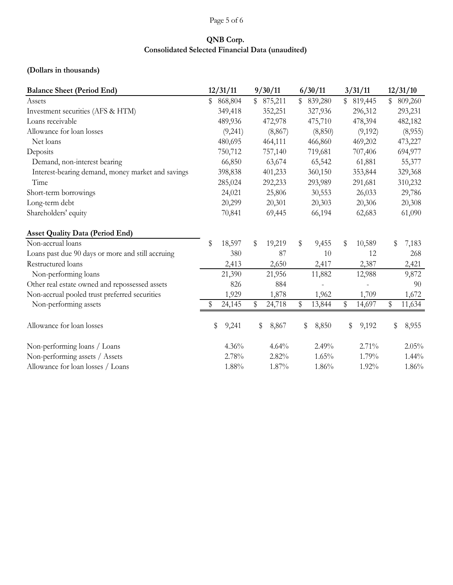# Page 5 of 6

# **QNB Corp. Consolidated Selected Financial Data (unaudited)**

# **(Dollars in thousands)**

| <b>Balance Sheet (Period End)</b>                 | 12/31/11      | 9/30/11       | 6/30/11       | 3/31/11       | 12/31/10      |  |  |  |
|---------------------------------------------------|---------------|---------------|---------------|---------------|---------------|--|--|--|
| Assets                                            | 868,804<br>\$ | 875,211<br>\$ | \$<br>839,280 | \$<br>819,445 | \$<br>809,260 |  |  |  |
| Investment securities (AFS & HTM)                 | 349,418       | 352,251       | 327,936       | 296,312       | 293,231       |  |  |  |
| Loans receivable                                  | 489,936       | 472,978       | 475,710       | 478,394       | 482,182       |  |  |  |
| Allowance for loan losses                         | (9,241)       | (8, 867)      | (8, 850)      | (9,192)       | (8,955)       |  |  |  |
| Net loans                                         | 480,695       | 464,111       | 466,860       | 469,202       | 473,227       |  |  |  |
| Deposits                                          | 750,712       | 757,140       | 719,681       | 707,406       | 694,977       |  |  |  |
| Demand, non-interest bearing                      | 66,850        | 63,674        | 65,542        | 61,881        | 55,377        |  |  |  |
| Interest-bearing demand, money market and savings | 398,838       | 401,233       | 360,150       | 353,844       | 329,368       |  |  |  |
| Time                                              | 285,024       | 292,233       | 293,989       | 291,681       | 310,232       |  |  |  |
| Short-term borrowings                             | 24,021        | 25,806        | 30,553        | 26,033        | 29,786        |  |  |  |
| Long-term debt                                    | 20,299        | 20,301        | 20,303        | 20,306        | 20,308        |  |  |  |
| Shareholders' equity                              | 70,841        | 69,445        | 66,194        | 62,683        | 61,090        |  |  |  |
| <b>Asset Quality Data (Period End)</b>            |               |               |               |               |               |  |  |  |
| Non-accrual loans                                 | \$<br>18,597  | \$<br>19,219  | \$<br>9,455   | \$<br>10,589  | \$<br>7,183   |  |  |  |
| Loans past due 90 days or more and still accruing | 380           | 87            | 10            | 12            | 268           |  |  |  |
| Restructured loans                                | 2,413         | 2,650         | 2,417         | 2,387         | 2,421         |  |  |  |
| Non-performing loans                              | 21,390        | 21,956        | 11,882        | 12,988        | 9,872         |  |  |  |
| Other real estate owned and repossessed assets    | 826           | 884           |               |               | 90            |  |  |  |
| Non-accrual pooled trust preferred securities     | 1,929         | 1,878         | 1,962         | 1,709         | 1,672         |  |  |  |
| Non-performing assets                             | 24,145<br>S   | 24,718<br>\$  | 13,844<br>\$  | \$<br>14,697  | \$<br>11,634  |  |  |  |
| Allowance for loan losses                         | \$<br>9,241   | \$<br>8,867   | \$<br>8,850   | \$<br>9,192   | \$<br>8,955   |  |  |  |
| Non-performing loans / Loans                      | 4.36%         | 4.64%         | 2.49%         | 2.71%         | 2.05%         |  |  |  |
| Non-performing assets / Assets                    | 2.78%         | 2.82%         | 1.65%         | 1.79%         | $1.44\%$      |  |  |  |
| Allowance for loan losses / Loans                 | 1.88%         | 1.87%         | 1.86%         | 1.92%         | 1.86%         |  |  |  |